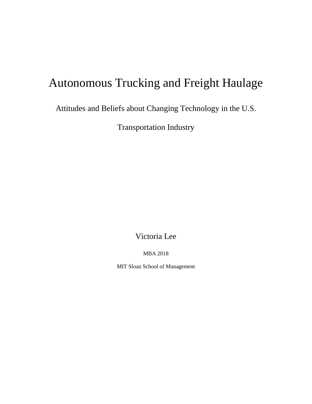# Autonomous Trucking and Freight Haulage

Attitudes and Beliefs about Changing Technology in the U.S.

Transportation Industry

Victoria Lee

MBA 2018

MIT Sloan School of Management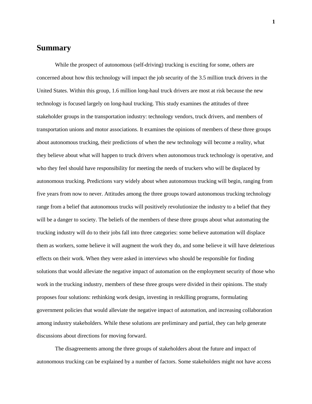## **Summary**

While the prospect of autonomous (self-driving) trucking is exciting for some, others are concerned about how this technology will impact the job security of the 3.5 million truck drivers in the United States. Within this group, 1.6 million long-haul truck drivers are most at risk because the new technology is focused largely on long-haul trucking. This study examines the attitudes of three stakeholder groups in the transportation industry: technology vendors, truck drivers, and members of transportation unions and motor associations. It examines the opinions of members of these three groups about autonomous trucking, their predictions of when the new technology will become a reality, what they believe about what will happen to truck drivers when autonomous truck technology is operative, and who they feel should have responsibility for meeting the needs of truckers who will be displaced by autonomous trucking. Predictions vary widely about when autonomous trucking will begin, ranging from five years from now to never. Attitudes among the three groups toward autonomous trucking technology range from a belief that autonomous trucks will positively revolutionize the industry to a belief that they will be a danger to society. The beliefs of the members of these three groups about what automating the trucking industry will do to their jobs fall into three categories: some believe automation will displace them as workers, some believe it will augment the work they do, and some believe it will have deleterious effects on their work. When they were asked in interviews who should be responsible for finding solutions that would alleviate the negative impact of automation on the employment security of those who work in the trucking industry, members of these three groups were divided in their opinions. The study proposes four solutions: rethinking work design, investing in reskilling programs, formulating government policies that would alleviate the negative impact of automation, and increasing collaboration among industry stakeholders. While these solutions are preliminary and partial, they can help generate discussions about directions for moving forward.

The disagreements among the three groups of stakeholders about the future and impact of autonomous trucking can be explained by a number of factors. Some stakeholders might not have access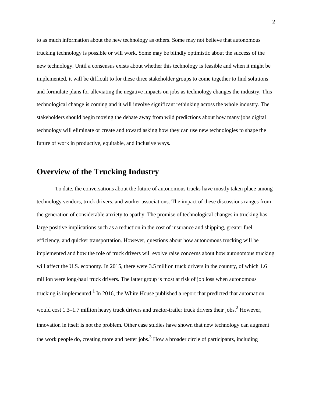to as much information about the new technology as others. Some may not believe that autonomous trucking technology is possible or will work. Some may be blindly optimistic about the success of the new technology. Until a consensus exists about whether this technology is feasible and when it might be implemented, it will be difficult to for these three stakeholder groups to come together to find solutions and formulate plans for alleviating the negative impacts on jobs as technology changes the industry. This technological change is coming and it will involve significant rethinking across the whole industry. The stakeholders should begin moving the debate away from wild predictions about how many jobs digital technology will eliminate or create and toward asking how they can use new technologies to shape the future of work in productive, equitable, and inclusive ways.

## **Overview of the Trucking Industry**

To date, the conversations about the future of autonomous trucks have mostly taken place among technology vendors, truck drivers, and worker associations. The impact of these discussions ranges from the generation of considerable anxiety to apathy. The promise of technological changes in trucking has large positive implications such as a reduction in the cost of insurance and shipping, greater fuel efficiency, and quicker transportation. However, questions about how autonomous trucking will be implemented and how the role of truck drivers will evolve raise concerns about how autonomous trucking will affect the U.S. economy. In 2015, there were 3.5 million truck drivers in the country, of which 1.6 million were long-haul truck drivers. The latter group is most at risk of job loss when autonomous trucking is implemented.<sup>1</sup> In 2016, the White House published a report that predicted that automation would cost 1.3–1.7 million heavy truck drivers and tractor-trailer truck drivers their jobs.<sup>2</sup> However, innovation in itself is not the problem. Other case studies have shown that new technology can augment the work people do, creating more and better jobs.<sup>3</sup> How a broader circle of participants, including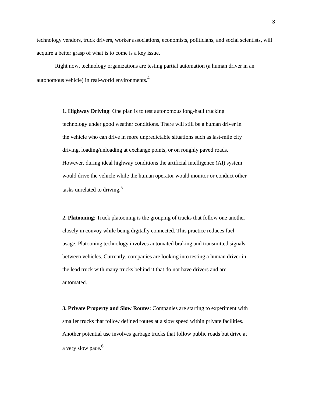technology vendors, truck drivers, worker associations, economists, politicians, and social scientists, will acquire a better grasp of what is to come is a key issue.

Right now, technology organizations are testing partial automation (a human driver in an autonomous vehicle) in real-world environments.4

> **1. Highway Driving**: One plan is to test autonomous long-haul trucking technology under good weather conditions. There will still be a human driver in the vehicle who can drive in more unpredictable situations such as last-mile city driving, loading/unloading at exchange points, or on roughly paved roads. However, during ideal highway conditions the artificial intelligence (AI) system would drive the vehicle while the human operator would monitor or conduct other tasks unrelated to driving.<sup>5</sup>

> **2. Platooning**: Truck platooning is the grouping of trucks that follow one another closely in convoy while being digitally connected. This practice reduces fuel usage. Platooning technology involves automated braking and transmitted signals between vehicles. Currently, companies are looking into testing a human driver in the lead truck with many trucks behind it that do not have drivers and are automated.

> **3. Private Property and Slow Routes**: Companies are starting to experiment with smaller trucks that follow defined routes at a slow speed within private facilities. Another potential use involves garbage trucks that follow public roads but drive at a very slow pace.<sup>6</sup>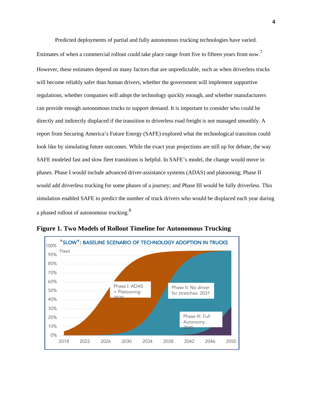Predicted deployments of partial and fully autonomous trucking technologies have varied.

Estimates of when a commercial rollout could take place range from five to fifteen years from now.<sup>7</sup> However, these estimates depend on many factors that are unpredictable, such as when driverless trucks will become reliably safer than human drivers, whether the government will implement supportive regulations, whether companies will adopt the technology quickly enough, and whether manufacturers can provide enough autonomous trucks to support demand. It is important to consider who could be directly and indirectly displaced if the transition to driverless road freight is not managed smoothly. A report from Securing America's Future Energy (SAFE) explored what the technological transition could look like by simulating future outcomes. While the exact year projections are still up for debate, the way SAFE modeled fast and slow fleet transitions is helpful. In SAFE's model, the change would move in phases. Phase I would include advanced driver-assistance systems (ADAS) and platooning; Phase II would add driverless trucking for some phases of a journey; and Phase III would be fully driverless. This simulation enabled SAFE to predict the number of truck drivers who would be displaced each year during a phased rollout of autonomous trucking. $^8$ 



**Figure 1. Two Models of Rollout Timeline for Autonomous Trucking**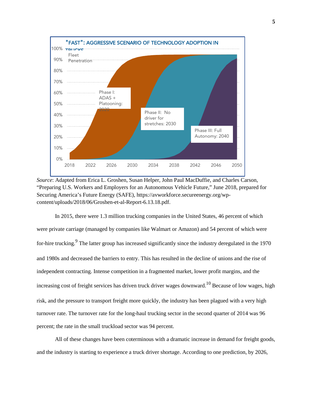

*Source*: Adapted from Erica L. Groshen, Susan Helper, John Paul MacDuffie, and Charles Carson, "Preparing U.S. Workers and Employers for an Autonomous Vehicle Future," June 2018, prepared for Securing America's Future Energy (SAFE), https://avworkforce.secureenergy.org/wpcontent/uploads/2018/06/Groshen-et-al-Report-6.13.18.pdf.

In 2015, there were 1.3 million trucking companies in the United States, 46 percent of which were private carriage (managed by companies like Walmart or Amazon) and 54 percent of which were for-hire trucking.<sup>9</sup> The latter group has increased significantly since the industry deregulated in the 1970 and 1980s and decreased the barriers to entry. This has resulted in the decline of unions and the rise of independent contracting. Intense competition in a fragmented market, lower profit margins, and the increasing cost of freight services has driven truck driver wages downward.<sup>10</sup> Because of low wages, high risk, and the pressure to transport freight more quickly, the industry has been plagued with a very high turnover rate. The turnover rate for the long-haul trucking sector in the second quarter of 2014 was 96 percent; the rate in the small truckload sector was 94 percent.

All of these changes have been coterminous with a dramatic increase in demand for freight goods, and the industry is starting to experience a truck driver shortage. According to one prediction, by 2026,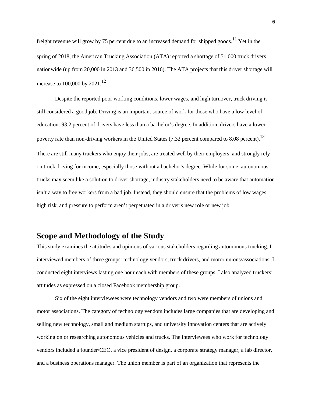freight revenue will grow by 75 percent due to an increased demand for shipped goods.<sup>11</sup> Yet in the spring of 2018, the American Trucking Association (ATA) reported a shortage of 51,000 truck drivers nationwide (up from 20,000 in 2013 and 36,500 in 2016). The ATA projects that this driver shortage will increase to 100,000 by  $2021$ ,  $^{12}$ 

Despite the reported poor working conditions, lower wages, and high turnover, truck driving is still considered a good job. Driving is an important source of work for those who have a low level of education: 93.2 percent of drivers have less than a bachelor's degree. In addition, drivers have a lower poverty rate than non-driving workers in the United States (7.32 percent compared to 8.08 percent).<sup>13</sup> There are still many truckers who enjoy their jobs, are treated well by their employers, and strongly rely on truck driving for income, especially those without a bachelor's degree. While for some, autonomous trucks may seem like a solution to driver shortage, industry stakeholders need to be aware that automation isn't a way to free workers from a bad job. Instead, they should ensure that the problems of low wages, high risk, and pressure to perform aren't perpetuated in a driver's new role or new job.

## **Scope and Methodology of the Study**

This study examines the attitudes and opinions of various stakeholders regarding autonomous trucking. I interviewed members of three groups: technology vendors, truck drivers, and motor unions/associations. I conducted eight interviews lasting one hour each with members of these groups. I also analyzed truckers' attitudes as expressed on a closed Facebook membership group.

Six of the eight interviewees were technology vendors and two were members of unions and motor associations. The category of technology vendors includes large companies that are developing and selling new technology, small and medium startups, and university innovation centers that are actively working on or researching autonomous vehicles and trucks. The interviewees who work for technology vendors included a founder/CEO, a vice president of design, a corporate strategy manager, a lab director, and a business operations manager. The union member is part of an organization that represents the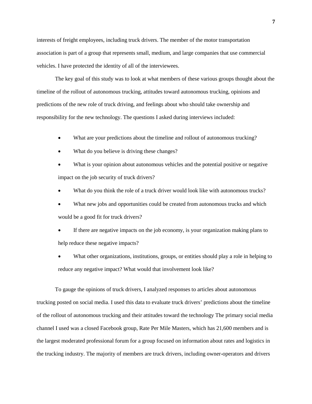interests of freight employees, including truck drivers. The member of the motor transportation association is part of a group that represents small, medium, and large companies that use commercial vehicles. I have protected the identity of all of the interviewees.

The key goal of this study was to look at what members of these various groups thought about the timeline of the rollout of autonomous trucking, attitudes toward autonomous trucking, opinions and predictions of the new role of truck driving, and feelings about who should take ownership and responsibility for the new technology. The questions I asked during interviews included:

- What are your predictions about the timeline and rollout of autonomous trucking?
- What do you believe is driving these changes?
- What is your opinion about autonomous vehicles and the potential positive or negative impact on the job security of truck drivers?
- What do you think the role of a truck driver would look like with autonomous trucks?
- What new jobs and opportunities could be created from autonomous trucks and which would be a good fit for truck drivers?
- If there are negative impacts on the job economy, is your organization making plans to help reduce these negative impacts?
- What other organizations, institutions, groups, or entities should play a role in helping to reduce any negative impact? What would that involvement look like?

To gauge the opinions of truck drivers, I analyzed responses to articles about autonomous trucking posted on social media. I used this data to evaluate truck drivers' predictions about the timeline of the rollout of autonomous trucking and their attitudes toward the technology The primary social media channel I used was a closed Facebook group, Rate Per Mile Masters, which has 21,600 members and is the largest moderated professional forum for a group focused on information about rates and logistics in the trucking industry. The majority of members are truck drivers, including owner-operators and drivers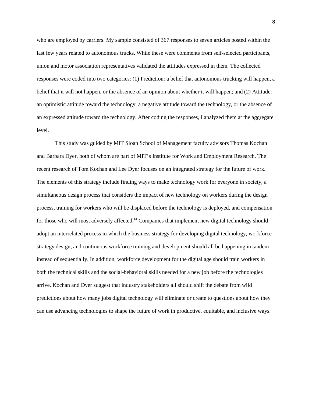who are employed by carriers. My sample consisted of 367 responses to seven articles posted within the last few years related to autonomous trucks. While these were comments from self-selected participants, union and motor association representatives validated the attitudes expressed in them. The collected responses were coded into two categories: (1) Prediction: a belief that autonomous trucking will happen, a belief that it will not happen, or the absence of an opinion about whether it will happen; and (2) Attitude: an optimistic attitude toward the technology, a negative attitude toward the technology, or the absence of an expressed attitude toward the technology. After coding the responses, I analyzed them at the aggregate level.

This study was guided by MIT Sloan School of Management faculty advisors Thomas Kochan and Barbara Dyer, both of whom are part of MIT's Institute for Work and Employment Research. The recent research of Tom Kochan and Lee Dyer focuses on an integrated strategy for the future of work. The elements of this strategy include finding ways to make technology work for everyone in society, a simultaneous design process that considers the impact of new technology on workers during the design process, training for workers who will be displaced before the technology is deployed, and compensation for those who will most adversely affected.<sup>14</sup> Companies that implement new digital technology should adopt an interrelated process in which the business strategy for developing digital technology, workforce strategy design, and continuous workforce training and development should all be happening in tandem instead of sequentially. In addition, workforce development for the digital age should train workers in both the technical skills and the social-behavioral skills needed for a new job before the technologies arrive. Kochan and Dyer suggest that industry stakeholders all should shift the debate from wild predictions about how many jobs digital technology will eliminate or create to questions about how they can use advancing technologies to shape the future of work in productive, equitable, and inclusive ways.

**8**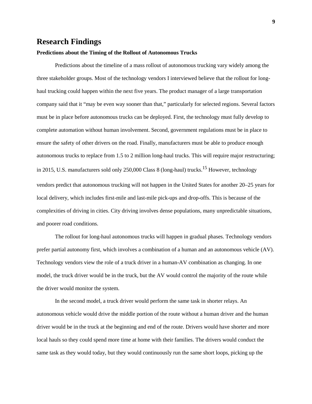## **Research Findings**

#### **Predictions about the Timing of the Rollout of Autonomous Trucks**

Predictions about the timeline of a mass rollout of autonomous trucking vary widely among the three stakeholder groups. Most of the technology vendors I interviewed believe that the rollout for longhaul trucking could happen within the next five years. The product manager of a large transportation company said that it "may be even way sooner than that," particularly for selected regions. Several factors must be in place before autonomous trucks can be deployed. First, the technology must fully develop to complete automation without human involvement. Second, government regulations must be in place to ensure the safety of other drivers on the road. Finally, manufacturers must be able to produce enough autonomous trucks to replace from 1.5 to 2 million long-haul trucks. This will require major restructuring; in 2015, U.S. manufacturers sold only 250,000 Class 8 (long-haul) trucks.<sup>15</sup> However, technology vendors predict that autonomous trucking will not happen in the United States for another 20–25 years for local delivery, which includes first-mile and last-mile pick-ups and drop-offs. This is because of the complexities of driving in cities. City driving involves dense populations, many unpredictable situations, and poorer road conditions.

The rollout for long-haul autonomous trucks will happen in gradual phases. Technology vendors prefer partial autonomy first, which involves a combination of a human and an autonomous vehicle (AV). Technology vendors view the role of a truck driver in a human-AV combination as changing. In one model, the truck driver would be in the truck, but the AV would control the majority of the route while the driver would monitor the system.

In the second model, a truck driver would perform the same task in shorter relays. An autonomous vehicle would drive the middle portion of the route without a human driver and the human driver would be in the truck at the beginning and end of the route. Drivers would have shorter and more local hauls so they could spend more time at home with their families. The drivers would conduct the same task as they would today, but they would continuously run the same short loops, picking up the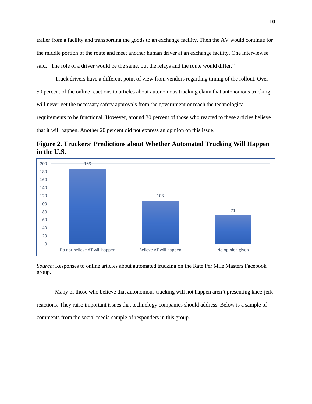trailer from a facility and transporting the goods to an exchange facility. Then the AV would continue for the middle portion of the route and meet another human driver at an exchange facility. One interviewee said, "The role of a driver would be the same, but the relays and the route would differ."

Truck drivers have a different point of view from vendors regarding timing of the rollout. Over 50 percent of the online reactions to articles about autonomous trucking claim that autonomous trucking will never get the necessary safety approvals from the government or reach the technological requirements to be functional. However, around 30 percent of those who reacted to these articles believe that it will happen. Another 20 percent did not express an opinion on this issue.





*Source*: Responses to online articles about automated trucking on the Rate Per Mile Masters Facebook group.

Many of those who believe that autonomous trucking will not happen aren't presenting knee-jerk reactions. They raise important issues that technology companies should address. Below is a sample of comments from the social media sample of responders in this group.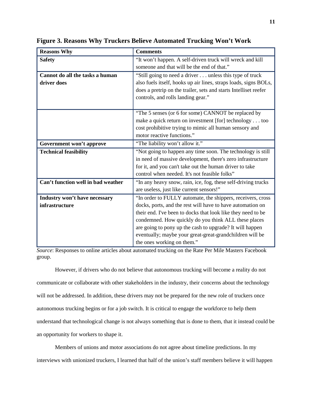| <b>Reasons Why</b>                 | <b>Comments</b>                                                  |  |  |  |  |
|------------------------------------|------------------------------------------------------------------|--|--|--|--|
| <b>Safety</b>                      | "It won't happen. A self-driven truck will wreck and kill        |  |  |  |  |
|                                    | someone and that will be the end of that."                       |  |  |  |  |
| Cannot do all the tasks a human    | "Still going to need a driver unless this type of truck          |  |  |  |  |
| driver does                        | also fuels itself, hooks up air lines, straps loads, signs BOLs, |  |  |  |  |
|                                    | does a pretrip on the trailer, sets and starts Intelliset reefer |  |  |  |  |
|                                    | controls, and rolls landing gear."                               |  |  |  |  |
|                                    |                                                                  |  |  |  |  |
|                                    | "The 5 senses (or 6 for some) CANNOT be replaced by              |  |  |  |  |
|                                    | make a quick return on investment [for] technology too           |  |  |  |  |
|                                    | cost prohibitive trying to mimic all human sensory and           |  |  |  |  |
|                                    | motor reactive functions."                                       |  |  |  |  |
| Government won't approve           | "The liability won't allow it."                                  |  |  |  |  |
| <b>Technical feasibility</b>       | "Not going to happen any time soon. The technology is still      |  |  |  |  |
|                                    | in need of massive development, there's zero infrastructure      |  |  |  |  |
|                                    | for it, and you can't take out the human driver to take          |  |  |  |  |
|                                    | control when needed. It's not feasible folks"                    |  |  |  |  |
| Can't function well in bad weather | "In any heavy snow, rain, ice, fog, these self-driving trucks    |  |  |  |  |
|                                    | are useless, just like current sensors!"                         |  |  |  |  |
| Industry won't have necessary      | "In order to FULLY automate, the shippers, receivers, cross      |  |  |  |  |
| infrastructure                     | docks, ports, and the rest will have to have automation on       |  |  |  |  |
|                                    | their end. I've been to docks that look like they need to be     |  |  |  |  |
|                                    | condemned. How quickly do you think ALL these places             |  |  |  |  |
|                                    | are going to pony up the cash to upgrade? It will happen         |  |  |  |  |
|                                    | eventually; maybe your great-great-grandchildren will be         |  |  |  |  |
|                                    | the ones working on them."                                       |  |  |  |  |

**Figure 3. Reasons Why Truckers Believe Automated Trucking Won't Work**

*Source*: Responses to online articles about automated trucking on the Rate Per Mile Masters Facebook group.

However, if drivers who do not believe that autonomous trucking will become a reality do not communicate or collaborate with other stakeholders in the industry, their concerns about the technology will not be addressed. In addition, these drivers may not be prepared for the new role of truckers once autonomous trucking begins or for a job switch. It is critical to engage the workforce to help them understand that technological change is not always something that is done to them, that it instead could be an opportunity for workers to shape it.

Members of unions and motor associations do not agree about timeline predictions. In my interviews with unionized truckers, I learned that half of the union's staff members believe it will happen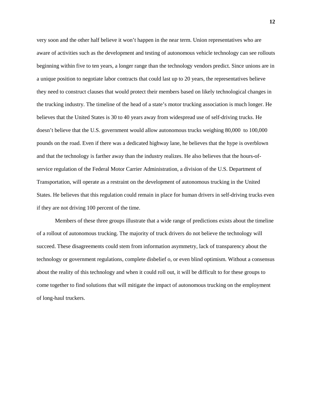very soon and the other half believe it won't happen in the near term. Union representatives who are aware of activities such as the development and testing of autonomous vehicle technology can see rollouts beginning within five to ten years, a longer range than the technology vendors predict. Since unions are in a unique position to negotiate labor contracts that could last up to 20 years, the representatives believe they need to construct clauses that would protect their members based on likely technological changes in the trucking industry. The timeline of the head of a state's motor trucking association is much longer. He believes that the United States is 30 to 40 years away from widespread use of self-driving trucks. He doesn't believe that the U.S. government would allow autonomous trucks weighing 80,000 to 100,000 pounds on the road. Even if there was a dedicated highway lane, he believes that the hype is overblown and that the technology is farther away than the industry realizes. He also believes that the hours-ofservice regulation of the Federal Motor Carrier Administration, a division of the U.S. Department of Transportation, will operate as a restraint on the development of autonomous trucking in the United States. He believes that this regulation could remain in place for human drivers in self-driving trucks even if they are not driving 100 percent of the time.

Members of these three groups illustrate that a wide range of predictions exists about the timeline of a rollout of autonomous trucking. The majority of truck drivers do not believe the technology will succeed. These disagreements could stem from information asymmetry, lack of transparency about the technology or government regulations, complete disbelief o, or even blind optimism. Without a consensus about the reality of this technology and when it could roll out, it will be difficult to for these groups to come together to find solutions that will mitigate the impact of autonomous trucking on the employment of long-haul truckers.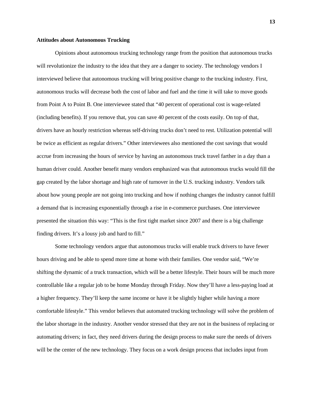#### **Attitudes about Autonomous Trucking**

Opinions about autonomous trucking technology range from the position that autonomous trucks will revolutionize the industry to the idea that they are a danger to society. The technology vendors I interviewed believe that autonomous trucking will bring positive change to the trucking industry. First, autonomous trucks will decrease both the cost of labor and fuel and the time it will take to move goods from Point A to Point B. One interviewee stated that "40 percent of operational cost is wage-related (including benefits). If you remove that, you can save 40 percent of the costs easily. On top of that, drivers have an hourly restriction whereas self-driving trucks don't need to rest. Utilization potential will be twice as efficient as regular drivers." Other interviewees also mentioned the cost savings that would accrue from increasing the hours of service by having an autonomous truck travel farther in a day than a human driver could. Another benefit many vendors emphasized was that autonomous trucks would fill the gap created by the labor shortage and high rate of turnover in the U.S. trucking industry. Vendors talk about how young people are not going into trucking and how if nothing changes the industry cannot fulfill a demand that is increasing exponentially through a rise in e-commerce purchases. One interviewee presented the situation this way: "This is the first tight market since 2007 and there is a big challenge finding drivers. It's a lousy job and hard to fill."

Some technology vendors argue that autonomous trucks will enable truck drivers to have fewer hours driving and be able to spend more time at home with their families. One vendor said, "We're shifting the dynamic of a truck transaction, which will be a better lifestyle. Their hours will be much more controllable like a regular job to be home Monday through Friday. Now they'll have a less-paying load at a higher frequency. They'll keep the same income or have it be slightly higher while having a more comfortable lifestyle." This vendor believes that automated trucking technology will solve the problem of the labor shortage in the industry. Another vendor stressed that they are not in the business of replacing or automating drivers; in fact, they need drivers during the design process to make sure the needs of drivers will be the center of the new technology. They focus on a work design process that includes input from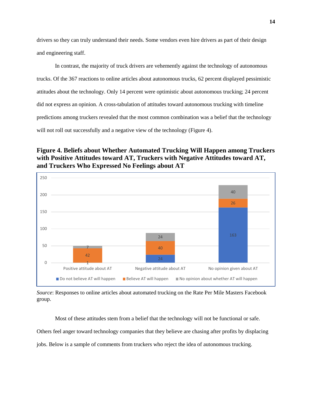drivers so they can truly understand their needs. Some vendors even hire drivers as part of their design and engineering staff.

In contrast, the majority of truck drivers are vehemently against the technology of autonomous trucks. Of the 367 reactions to online articles about autonomous trucks, 62 percent displayed pessimistic attitudes about the technology. Only 14 percent were optimistic about autonomous trucking; 24 percent did not express an opinion. A cross-tabulation of attitudes toward autonomous trucking with timeline predictions among truckers revealed that the most common combination was a belief that the technology will not roll out successfully and a negative view of the technology (Figure 4).

### **Figure 4. Beliefs about Whether Automated Trucking Will Happen among Truckers with Positive Attitudes toward AT, Truckers with Negative Attitudes toward AT, and Truckers Who Expressed No Feelings about AT**



*Source*: Responses to online articles about automated trucking on the Rate Per Mile Masters Facebook group.

Most of these attitudes stem from a belief that the technology will not be functional or safe. Others feel anger toward technology companies that they believe are chasing after profits by displacing jobs. Below is a sample of comments from truckers who reject the idea of autonomous trucking.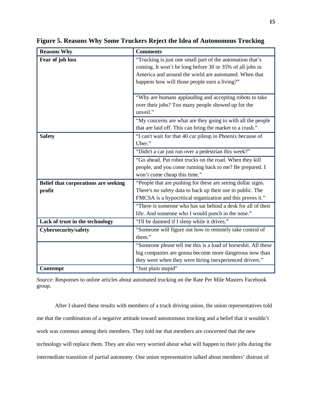| <b>Reasons Why</b>                   | <b>Comments</b>                                                |  |  |  |  |
|--------------------------------------|----------------------------------------------------------------|--|--|--|--|
| Fear of job loss                     | "Trucking is just one small part of the automation that's      |  |  |  |  |
|                                      | coming. It won't be long before 30 or 35% of all jobs in       |  |  |  |  |
|                                      | America and around the world are automated. When that          |  |  |  |  |
|                                      | happens how will those people earn a living?"                  |  |  |  |  |
|                                      |                                                                |  |  |  |  |
|                                      | "Why are humans applauding and accepting robots to take        |  |  |  |  |
|                                      | over their jobs? Too many people showed up for the             |  |  |  |  |
|                                      | unveil."                                                       |  |  |  |  |
|                                      | "My concerns are what are they going to with all the people    |  |  |  |  |
|                                      | that are laid off. This can bring the market to a crash."      |  |  |  |  |
| <b>Safety</b>                        | "I can't wait for that 40 car pileup in Phoenix because of     |  |  |  |  |
|                                      | Uber."                                                         |  |  |  |  |
|                                      | "Didn't a car just run over a pedestrian this week?"           |  |  |  |  |
|                                      | "Go ahead. Put robot trucks on the road. When they kill        |  |  |  |  |
|                                      | people, and you come running back to me? Be prepared. I        |  |  |  |  |
|                                      | won't come cheap this time."                                   |  |  |  |  |
| Belief that corporations are seeking | "People that are pushing for these are seeing dollar signs.    |  |  |  |  |
| profit                               | There's no safety data to back up their use in public. The     |  |  |  |  |
|                                      | FMCSA is a hypocritical organization and this proves it."      |  |  |  |  |
|                                      | "There is someone who has sat behind a desk for all of their   |  |  |  |  |
|                                      | life. And someone who I would punch in the nose."              |  |  |  |  |
| Lack of trust in the technology      | "I'll be damned if I sleep while it drives."                   |  |  |  |  |
| <b>Cybersecurity/safety</b>          | "Someone will figure out how to remotely take control of       |  |  |  |  |
|                                      | them."                                                         |  |  |  |  |
|                                      | "Someone please tell me this is a load of horseshit. All these |  |  |  |  |
|                                      | big companies are gonna become more dangerous now than         |  |  |  |  |
|                                      | they were when they were hiring inexperienced drivers."        |  |  |  |  |
| Contempt                             | "Just plain stupid"                                            |  |  |  |  |

**Figure 5. Reasons Why Some Truckers Reject the Idea of Autonomous Trucking**

*Source*: Responses to online articles about automated trucking on the Rate Per Mile Masters Facebook group.

After I shared these results with members of a truck driving union, the union representatives told me that the combination of a negative attitude toward autonomous trucking and a belief that it wouldn't work was common among their members. They told me that members are concerned that the new technology will replace them. They are also very worried about what will happen to their jobs during the intermediate transition of partial autonomy. One union representative talked about members' distrust of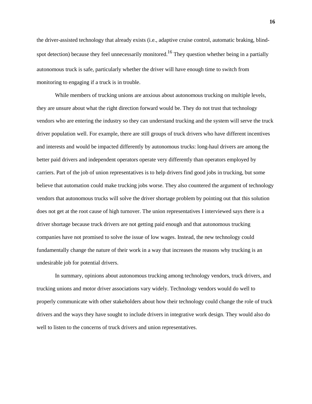the driver-assisted technology that already exists (i.e., adaptive cruise control, automatic braking, blindspot detection) because they feel unnecessarily monitored.<sup>16</sup> They question whether being in a partially autonomous truck is safe, particularly whether the driver will have enough time to switch from monitoring to engaging if a truck is in trouble.

While members of trucking unions are anxious about autonomous trucking on multiple levels, they are unsure about what the right direction forward would be. They do not trust that technology vendors who are entering the industry so they can understand trucking and the system will serve the truck driver population well. For example, there are still groups of truck drivers who have different incentives and interests and would be impacted differently by autonomous trucks: long-haul drivers are among the better paid drivers and independent operators operate very differently than operators employed by carriers. Part of the job of union representatives is to help drivers find good jobs in trucking, but some believe that automation could make trucking jobs worse. They also countered the argument of technology vendors that autonomous trucks will solve the driver shortage problem by pointing out that this solution does not get at the root cause of high turnover. The union representatives I interviewed says there is a driver shortage because truck drivers are not getting paid enough and that autonomous trucking companies have not promised to solve the issue of low wages. Instead, the new technology could fundamentally change the nature of their work in a way that increases the reasons why trucking is an undesirable job for potential drivers.

In summary, opinions about autonomous trucking among technology vendors, truck drivers, and trucking unions and motor driver associations vary widely. Technology vendors would do well to properly communicate with other stakeholders about how their technology could change the role of truck drivers and the ways they have sought to include drivers in integrative work design. They would also do well to listen to the concerns of truck drivers and union representatives.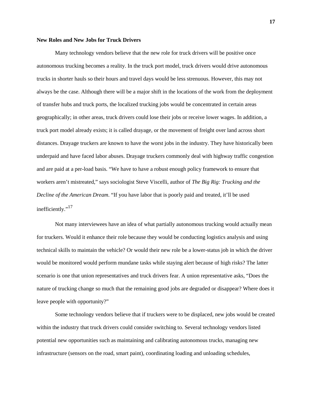#### **New Roles and New Jobs for Truck Drivers**

Many technology vendors believe that the new role for truck drivers will be positive once autonomous trucking becomes a reality. In the truck port model, truck drivers would drive autonomous trucks in shorter hauls so their hours and travel days would be less strenuous. However, this may not always be the case. Although there will be a major shift in the locations of the work from the deployment of transfer hubs and truck ports, the localized trucking jobs would be concentrated in certain areas geographically; in other areas, truck drivers could lose their jobs or receive lower wages. In addition, a truck port model already exists; it is called drayage, or the movement of freight over land across short distances. Drayage truckers are known to have the worst jobs in the industry. They have historically been underpaid and have faced labor abuses. Drayage truckers commonly deal with highway traffic congestion and are paid at a per-load basis. "We have to have a robust enough policy framework to ensure that workers aren't mistreated," says sociologist Steve Viscelli, author of *The Big Rig: Trucking and the Decline of the American Dream*. "If you have labor that is poorly paid and treated, it'll be used inefficiently." $^{17}$ 

Not many interviewees have an idea of what partially autonomous trucking would actually mean for truckers. Would it enhance their role because they would be conducting logistics analysis and using technical skills to maintain the vehicle? Or would their new role be a lower-status job in which the driver would be monitored would perform mundane tasks while staying alert because of high risks? The latter scenario is one that union representatives and truck drivers fear. A union representative asks, "Does the nature of trucking change so much that the remaining good jobs are degraded or disappear? Where does it leave people with opportunity?"

Some technology vendors believe that if truckers were to be displaced, new jobs would be created within the industry that truck drivers could consider switching to. Several technology vendors listed potential new opportunities such as maintaining and calibrating autonomous trucks, managing new infrastructure (sensors on the road, smart paint), coordinating loading and unloading schedules,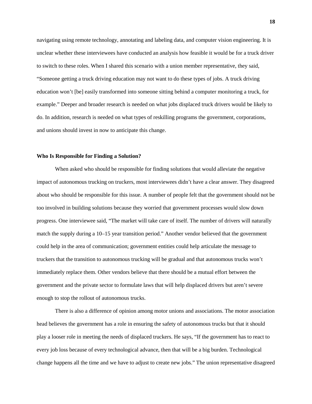navigating using remote technology, annotating and labeling data, and computer vision engineering. It is unclear whether these interviewees have conducted an analysis how feasible it would be for a truck driver to switch to these roles. When I shared this scenario with a union member representative, they said, "Someone getting a truck driving education may not want to do these types of jobs. A truck driving education won't [be] easily transformed into someone sitting behind a computer monitoring a truck, for example." Deeper and broader research is needed on what jobs displaced truck drivers would be likely to do. In addition, research is needed on what types of reskilling programs the government, corporations, and unions should invest in now to anticipate this change.

#### **Who Is Responsible for Finding a Solution?**

When asked who should be responsible for finding solutions that would alleviate the negative impact of autonomous trucking on truckers, most interviewees didn't have a clear answer. They disagreed about who should be responsible for this issue. A number of people felt that the government should not be too involved in building solutions because they worried that government processes would slow down progress. One interviewee said, "The market will take care of itself. The number of drivers will naturally match the supply during a 10–15 year transition period." Another vendor believed that the government could help in the area of communication; government entities could help articulate the message to truckers that the transition to autonomous trucking will be gradual and that autonomous trucks won't immediately replace them. Other vendors believe that there should be a mutual effort between the government and the private sector to formulate laws that will help displaced drivers but aren't severe enough to stop the rollout of autonomous trucks.

There is also a difference of opinion among motor unions and associations. The motor association head believes the government has a role in ensuring the safety of autonomous trucks but that it should play a looser role in meeting the needs of displaced truckers. He says, "If the government has to react to every job loss because of every technological advance, then that will be a big burden. Technological change happens all the time and we have to adjust to create new jobs." The union representative disagreed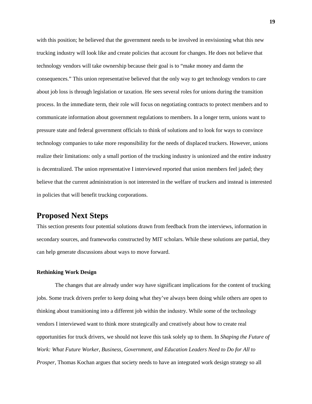with this position; he believed that the government needs to be involved in envisioning what this new trucking industry will look like and create policies that account for changes. He does not believe that technology vendors will take ownership because their goal is to "make money and damn the consequences." This union representative believed that the only way to get technology vendors to care about job loss is through legislation or taxation. He sees several roles for unions during the transition process. In the immediate term, their role will focus on negotiating contracts to protect members and to communicate information about government regulations to members. In a longer term, unions want to pressure state and federal government officials to think of solutions and to look for ways to convince technology companies to take more responsibility for the needs of displaced truckers. However, unions realize their limitations: only a small portion of the trucking industry is unionized and the entire industry is decentralized. The union representative I interviewed reported that union members feel jaded; they believe that the current administration is not interested in the welfare of truckers and instead is interested in policies that will benefit trucking corporations.

## **Proposed Next Steps**

This section presents four potential solutions drawn from feedback from the interviews, information in secondary sources, and frameworks constructed by MIT scholars. While these solutions are partial, they can help generate discussions about ways to move forward.

#### **Rethinking Work Design**

The changes that are already under way have significant implications for the content of trucking jobs. Some truck drivers prefer to keep doing what they've always been doing while others are open to thinking about transitioning into a different job within the industry. While some of the technology vendors I interviewed want to think more strategically and creatively about how to create real opportunities for truck drivers, we should not leave this task solely up to them. In *Shaping the Future of Work: What Future Worker, Business, Government, and Education Leaders Need to Do for All to Prosper*, Thomas Kochan argues that society needs to have an integrated work design strategy so all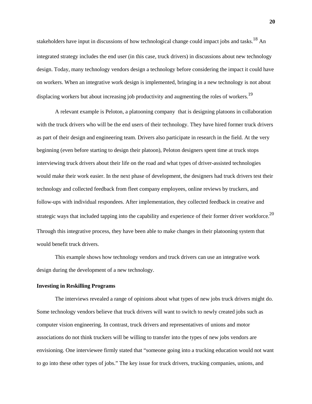stakeholders have input in discussions of how technological change could impact jobs and tasks.<sup>18</sup> An integrated strategy includes the end user (in this case, truck drivers) in discussions about new technology design. Today, many technology vendors design a technology before considering the impact it could have on workers. When an integrative work design is implemented, bringing in a new technology is not about displacing workers but about increasing job productivity and augmenting the roles of workers.<sup>19</sup>

A relevant example is Peloton, a platooning company that is designing platoons in collaboration with the truck drivers who will be the end users of their technology. They have hired former truck drivers as part of their design and engineering team. Drivers also participate in research in the field. At the very beginning (even before starting to design their platoon), Peloton designers spent time at truck stops interviewing truck drivers about their life on the road and what types of driver-assisted technologies would make their work easier. In the next phase of development, the designers had truck drivers test their technology and collected feedback from fleet company employees, online reviews by truckers, and follow-ups with individual respondees. After implementation, they collected feedback in creative and strategic ways that included tapping into the capability and experience of their former driver workforce.<sup>20</sup> Through this integrative process, they have been able to make changes in their platooning system that would benefit truck drivers.

This example shows how technology vendors and truck drivers can use an integrative work design during the development of a new technology.

#### **Investing in Reskilling Programs**

The interviews revealed a range of opinions about what types of new jobs truck drivers might do. Some technology vendors believe that truck drivers will want to switch to newly created jobs such as computer vision engineering. In contrast, truck drivers and representatives of unions and motor associations do not think truckers will be willing to transfer into the types of new jobs vendors are envisioning. One interviewee firmly stated that "someone going into a trucking education would not want to go into these other types of jobs." The key issue for truck drivers, trucking companies, unions, and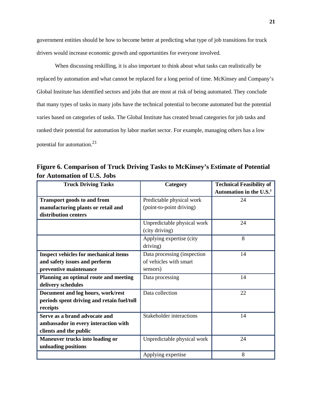government entities should be how to become better at predicting what type of job transitions for truck drivers would increase economic growth and opportunities for everyone involved.

When discussing reskilling, it is also important to think about what tasks can realistically be replaced by automation and what cannot be replaced for a long period of time. McKinsey and Company's Global Institute has identified sectors and jobs that are most at risk of being automated. They conclude that many types of tasks in many jobs have the technical potential to become automated but the potential varies based on categories of tasks. The Global Institute has created broad categories for job tasks and ranked their potential for automation by labor market sector. For example, managing others has a low potential for automation.21

**Figure 6. Comparison of Truck Driving Tasks to McKinsey's Estimate of Potential for Automation of U.S. Jobs**

| <b>Truck Driving Tasks</b>                   | Category                             | <b>Technical Feasibility of</b> |  |
|----------------------------------------------|--------------------------------------|---------------------------------|--|
|                                              |                                      | Automation in the $U.S.1$       |  |
| <b>Transport goods to and from</b>           | Predictable physical work            | 24                              |  |
| manufacturing plants or retail and           | (point-to-point driving)             |                                 |  |
| distribution centers                         |                                      |                                 |  |
|                                              | Unpredictable physical work          | 24                              |  |
|                                              | (city driving)                       |                                 |  |
|                                              | Applying expertise (city<br>driving) | 8                               |  |
| <b>Inspect vehicles for mechanical items</b> | Data processing (inspection)         | 14                              |  |
| and safety issues and perform                | of vehicles with smart               |                                 |  |
| preventive maintenance                       | sensors)                             |                                 |  |
| Planning an optimal route and meeting        | Data processing                      | 14                              |  |
| delivery schedules                           |                                      |                                 |  |
| Document and log hours, work/rest            | Data collection                      | 22                              |  |
| periods spent driving and retain fuel/toll   |                                      |                                 |  |
| receipts                                     |                                      |                                 |  |
| Serve as a brand advocate and                | <b>Stakeholder interactions</b>      | 14                              |  |
| ambassador in every interaction with         |                                      |                                 |  |
| clients and the public                       |                                      |                                 |  |
| <b>Maneuver trucks into loading or</b>       | Unpredictable physical work          | 24                              |  |
| unloading positions                          |                                      |                                 |  |
|                                              | Applying expertise                   | 8                               |  |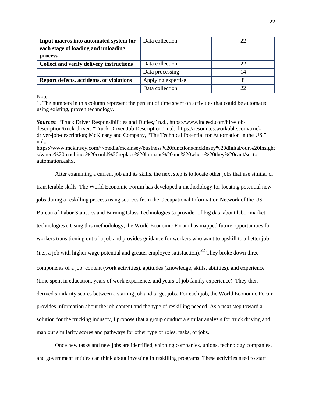| Input macros into automated system for   | Data collection    | 22 |
|------------------------------------------|--------------------|----|
| each stage of loading and unloading      |                    |    |
| process                                  |                    |    |
| Collect and verify delivery instructions | Data collection    | 22 |
|                                          | Data processing    | 14 |
| Report defects, accidents, or violations | Applying expertise |    |
|                                          | Data collection    |    |

**Note** 

1. The numbers in this column represent the percent of time spent on activities that could be automated using existing, proven technology.

*Sources***:** "Truck Driver Responsibilities and Duties," n.d., https://www.indeed.com/hire/jobdescription/truck-driver; "Truck Driver Job Description," n.d., https://resources.workable.com/truckdriver-job-description; McKinsey and Company, "The Technical Potential for Automation in the US," n.d.,

https://www.mckinsey.com/~/media/mckinsey/business%20functions/mckinsey%20digital/our%20insight s/where%20machines%20could%20replace%20humans%20and%20where%20they%20cant/sectorautomation.ashx.

After examining a current job and its skills, the next step is to locate other jobs that use similar or transferable skills. The World Economic Forum has developed a methodology for locating potential new jobs during a reskilling process using sources from the Occupational Information Network of the US Bureau of Labor Statistics and Burning Glass Technologies (a provider of big data about labor market technologies). Using this methodology, the World Economic Forum has mapped future opportunities for workers transitioning out of a job and provides guidance for workers who want to upskill to a better job (i.e., a job with higher wage potential and greater employee satisfaction).<sup>22</sup> They broke down three components of a job: content (work activities), aptitudes (knowledge, skills, abilities), and experience (time spent in education, years of work experience, and years of job family experience). They then derived similarity scores between a starting job and target jobs. For each job, the World Economic Forum provides information about the job content and the type of reskilling needed. As a next step toward a solution for the trucking industry, I propose that a group conduct a similar analysis for truck driving and map out similarity scores and pathways for other type of roles, tasks, or jobs.

Once new tasks and new jobs are identified, shipping companies, unions, technology companies, and government entities can think about investing in reskilling programs. These activities need to start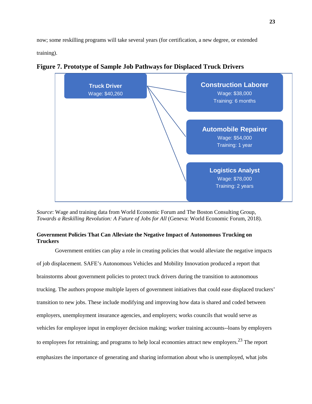now; some reskilling programs will take several years (for certification, a new degree, or extended training).



**Figure 7. Prototype of Sample Job Pathways for Displaced Truck Drivers**

*Source*: Wage and training data from World Economic Forum and The Boston Consulting Group, *Towards a Reskilling Revolution: A Future of Jobs for All* (Geneva: World Economic Forum, 2018).

#### **Government Policies That Can Alleviate the Negative Impact of Autonomous Trucking on Truckers**

Government entities can play a role in creating policies that would alleviate the negative impacts of job displacement. SAFE's Autonomous Vehicles and Mobility Innovation produced a report that brainstorms about government policies to protect truck drivers during the transition to autonomous trucking. The authors propose multiple layers of government initiatives that could ease displaced truckers' transition to new jobs. These include modifying and improving how data is shared and coded between employers, unemployment insurance agencies, and employers; works councils that would serve as vehicles for employee input in employer decision making; worker training accounts--loans by employers to employees for retraining; and programs to help local economies attract new employers.<sup>23</sup> The report emphasizes the importance of generating and sharing information about who is unemployed, what jobs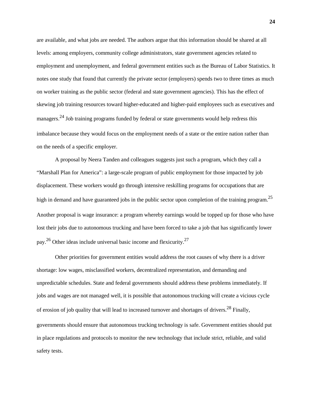are available, and what jobs are needed. The authors argue that this information should be shared at all levels: among employers, community college administrators, state government agencies related to employment and unemployment, and federal government entities such as the Bureau of Labor Statistics. It notes one study that found that currently the private sector (employers) spends two to three times as much on worker training as the public sector (federal and state government agencies). This has the effect of skewing job training resources toward higher-educated and higher-paid employees such as executives and managers.<sup>24</sup> Job training programs funded by federal or state governments would help redress this imbalance because they would focus on the employment needs of a state or the entire nation rather than on the needs of a specific employer.

A proposal by Neera Tanden and colleagues suggests just such a program, which they call a "Marshall Plan for America": a large-scale program of public employment for those impacted by job displacement. These workers would go through intensive reskilling programs for occupations that are high in demand and have guaranteed jobs in the public sector upon completion of the training program.<sup>25</sup> Another proposal is wage insurance: a program whereby earnings would be topped up for those who have lost their jobs due to autonomous trucking and have been forced to take a job that has significantly lower pay.<sup>26</sup> Other ideas include universal basic income and flexicurity.<sup>27</sup>

Other priorities for government entities would address the root causes of why there is a driver shortage: low wages, misclassified workers, decentralized representation, and demanding and unpredictable schedules. State and federal governments should address these problems immediately. If jobs and wages are not managed well, it is possible that autonomous trucking will create a vicious cycle of erosion of job quality that will lead to increased turnover and shortages of drivers.<sup>28</sup> Finally, governments should ensure that autonomous trucking technology is safe. Government entities should put in place regulations and protocols to monitor the new technology that include strict, reliable, and valid safety tests.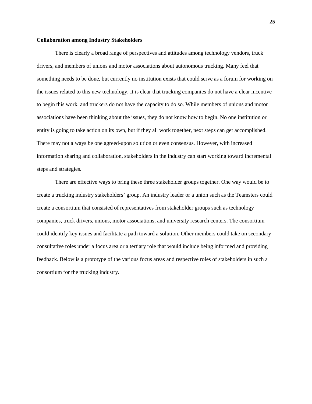#### **Collaboration among Industry Stakeholders**

There is clearly a broad range of perspectives and attitudes among technology vendors, truck drivers, and members of unions and motor associations about autonomous trucking. Many feel that something needs to be done, but currently no institution exists that could serve as a forum for working on the issues related to this new technology. It is clear that trucking companies do not have a clear incentive to begin this work, and truckers do not have the capacity to do so. While members of unions and motor associations have been thinking about the issues, they do not know how to begin. No one institution or entity is going to take action on its own, but if they all work together, next steps can get accomplished. There may not always be one agreed-upon solution or even consensus. However, with increased information sharing and collaboration, stakeholders in the industry can start working toward incremental steps and strategies.

There are effective ways to bring these three stakeholder groups together. One way would be to create a trucking industry stakeholders' group. An industry leader or a union such as the Teamsters could create a consortium that consisted of representatives from stakeholder groups such as technology companies, truck drivers, unions, motor associations, and university research centers. The consortium could identify key issues and facilitate a path toward a solution. Other members could take on secondary consultative roles under a focus area or a tertiary role that would include being informed and providing feedback. Below is a prototype of the various focus areas and respective roles of stakeholders in such a consortium for the trucking industry.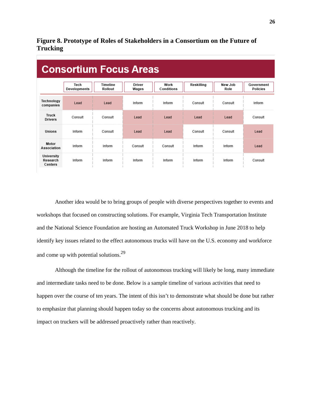### **Figure 8. Prototype of Roles of Stakeholders in a Consortium on the Future of Trucking**

| <b>Consortium Focus Areas</b>     |                      |                     |                 |                    |            |                 |                               |  |
|-----------------------------------|----------------------|---------------------|-----------------|--------------------|------------|-----------------|-------------------------------|--|
|                                   | Tech<br>Developments | Timeline<br>Rollout | Driver<br>Wages | Work<br>Conditions | Reskilling | New Job<br>Role | Government<br><b>Policies</b> |  |
| Technology<br>companies           | Lead                 | Lead                | Inform          | Inform             | Consult    | Consult         | Inform                        |  |
| <b>Truck</b><br><b>Drivers</b>    | Consult              | Consult             | Lead            | Lead               | Lead       | Lead            | Consult                       |  |
| Unions                            | Inform               | Consult             | I ead           | Lead               | Consult    | Consult         | Lead                          |  |
| Motor<br>Association              | Inform               | Inform              | Consult         | Consult            | Inform     | Inform          | Lead                          |  |
| University<br>Research<br>Centers | Inform               | Inform              | Inform          | Inform             | Inform     | Inform          | Consult                       |  |

Another idea would be to bring groups of people with diverse perspectives together to events and workshops that focused on constructing solutions. For example, Virginia Tech Transportation Institute and the National Science Foundation are hosting an Automated Truck Workshop in June 2018 to help identify key issues related to the effect autonomous trucks will have on the U.S. economy and workforce and come up with potential solutions.29

Although the timeline for the rollout of autonomous trucking will likely be long, many immediate and intermediate tasks need to be done. Below is a sample timeline of various activities that need to happen over the course of ten years. The intent of this isn't to demonstrate what should be done but rather to emphasize that planning should happen today so the concerns about autonomous trucking and its impact on truckers will be addressed proactively rather than reactively.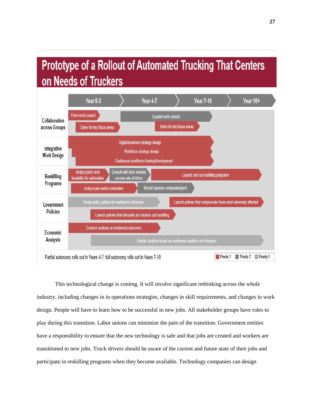# **Prototype of a Rollout of Automated Trucking That Centers** on Needs of Truckers



This technological change is coming. It will involve significant rethinking across the whole industry, including changes in in operations strategies, changes in skill requirements, and changes in work design. People will have to learn how to be successful in new jobs. All stakeholder groups have roles to play during this transition. Labor unions can minimize the pain of the transition. Government entities have a responsibility to ensure that the new technology is safe and that jobs are created and workers are transitioned to new jobs. Truck drivers should be aware of the current and future state of their jobs and participate in reskilling programs when they become available. Technology companies can design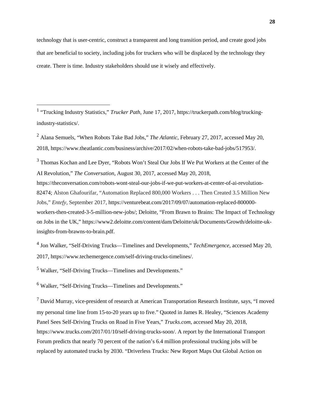technology that is user-centric, construct a transparent and long transition period, and create good jobs that are beneficial to society, including jobs for truckers who will be displaced by the technology they create. There is time. Industry stakeholders should use it wisely and effectively.

<sup>1</sup> "Trucking Industry Statistics," *Trucker Path*, June 17, 2017, https://truckerpath.com/blog/truckingindustry-statistics/.

<sup>2</sup> Alana Semuels, "When Robots Take Bad Jobs," *The Atlantic*, February 27, 2017, accessed May 20, 2018, https://www.theatlantic.com/business/archive/2017/02/when-robots-take-bad-jobs/517953/.

<sup>3</sup> Thomas Kochan and Lee Dyer, "Robots Won't Steal Our Jobs If We Put Workers at the Center of the AI Revolution," *The Conversation*, August 30, 2017, accessed May 20, 2018,

https://theconversation.com/robots-wont-steal-our-jobs-if-we-put-workers-at-center-of-ai-revolution-82474; Alston Ghafourifar, "Automation Replaced 800,000 Workers . . . Then Created 3.5 Million New Jobs," *Entefy*, September 2017, https://venturebeat.com/2017/09/07/automation-replaced-800000 workers-then-created-3-5-million-new-jobs/; Deloitte, "From Brawn to Brains: The Impact of Technology on Jobs in the UK," https://www2.deloitte.com/content/dam/Deloitte/uk/Documents/Growth/deloitte-ukinsights-from-brawns-to-brain.pdf.

<sup>4</sup> Jon Walker, "Self-Driving Trucks—Timelines and Developments," *TechEmergence*, accessed May 20, 2017, https://www.techemergence.com/self-driving-trucks-timelines/.

<sup>5</sup> Walker, "Self-Driving Trucks—Timelines and Developments."

 $\overline{a}$ 

<sup>6</sup> Walker, "Self-Driving Trucks—Timelines and Developments."

 $7$  David Murray, vice-president of research at American Transportation Research Institute, says, "I moved my personal time line from 15-to-20 years up to five." Quoted in James R. Healey, "Sciences Academy Panel Sees Self-Driving Trucks on Road in Five Years," *Trucks.com*, accessed May 20, 2018, https://www.trucks.com/2017/01/10/self-driving-trucks-soon/. A report by the International Transport Forum predicts that nearly 70 percent of the nation's 6.4 million professional trucking jobs will be replaced by automated trucks by 2030. "Driverless Trucks: New Report Maps Out Global Action on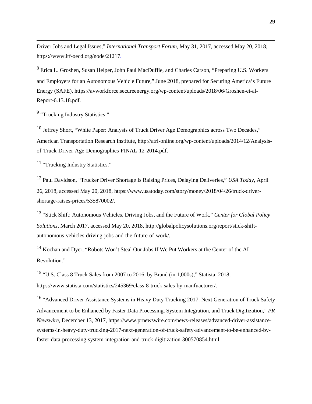Driver Jobs and Legal Issues," *International Transport Forum*, May 31, 2017, accessed May 20, 2018, https://www.itf-oecd.org/node/21217.

<sup>8</sup> Erica L. Groshen, Susan Helper, John Paul MacDuffie, and Charles Carson, "Preparing U.S. Workers and Employers for an Autonomous Vehicle Future," June 2018, prepared for Securing America's Future Energy (SAFE), https://avworkforce.secureenergy.org/wp-content/uploads/2018/06/Groshen-et-al-Report-6.13.18.pdf.

<sup>9</sup> "Trucking Industry Statistics."

 $\overline{a}$ 

<sup>10</sup> Jeffrey Short, "White Paper: Analysis of Truck Driver Age Demographics across Two Decades," American Transportation Research Institute, http://atri-online.org/wp-content/uploads/2014/12/Analysisof-Truck-Driver-Age-Demographics-FINAL-12-2014.pdf.

<sup>11</sup> "Trucking Industry Statistics."

<sup>12</sup> Paul Davidson, "Trucker Driver Shortage Is Raising Prices, Delaying Deliveries," *USA Today*, April 26, 2018, accessed May 20, 2018, https://www.usatoday.com/story/money/2018/04/26/truck-drivershortage-raises-prices/535870002/.

<sup>13</sup> "Stick Shift: Autonomous Vehicles, Driving Jobs, and the Future of Work," *Center for Global Policy Solutions*, March 2017, accessed May 20, 2018, http://globalpolicysolutions.org/report/stick-shiftautonomous-vehicles-driving-jobs-and-the-future-of-work/.

<sup>14</sup> Kochan and Dyer, "Robots Won't Steal Our Jobs If We Put Workers at the Center of the AI Revolution."

<sup>15</sup> "U.S. Class 8 Truck Sales from 2007 to 2016, by Brand (in 1,000s)," Statista, 2018, https://www.statista.com/statistics/245369/class-8-truck-sales-by-manfuacturer/.

<sup>16</sup> "Advanced Driver Assistance Systems in Heavy Duty Trucking 2017: Next Generation of Truck Safety Advancement to be Enhanced by Faster Data Processing, System Integration, and Truck Digitization," *PR Newswire*, December 13, 2017, https://www.prnewswire.com/news-releases/advanced-driver-assistancesystems-in-heavy-duty-trucking-2017-next-generation-of-truck-safety-advancement-to-be-enhanced-byfaster-data-processing-system-integration-and-truck-digitization-300570854.html.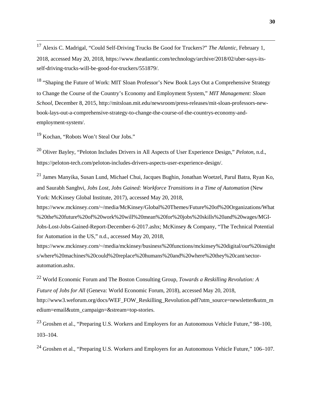17 Alexis C. Madrigal, "Could Self-Driving Trucks Be Good for Truckers?" *The Atlantic*, February 1, 2018, accessed May 20, 2018, https://www.theatlantic.com/technology/archive/2018/02/uber-says-itsself-driving-trucks-will-be-good-for-truckers/551879/.

<sup>18</sup> "Shaping the Future of Work: MIT Sloan Professor's New Book Lays Out a Comprehensive Strategy to Change the Course of the Country's Economy and Employment System," *MIT Management: Sloan School*, December 8, 2015, http://mitsloan.mit.edu/newsroom/press-releases/mit-sloan-professors-newbook-lays-out-a-comprehensive-strategy-to-change-the-course-of-the-countrys-economy-andemployment-system/.

<sup>19</sup> Kochan, "Robots Won't Steal Our Jobs."

<sup>20</sup> Oliver Bayley, "Peloton Includes Drivers in All Aspects of User Experience Design," *Peloton*, n.d., https://peloton-tech.com/peloton-includes-drivers-aspects-user-experience-design/.

<sup>21</sup> James Manyika, Susan Lund, Michael Chui, Jacques Bughin, Jonathan Woetzel, Parul Batra, Ryan Ko, and Saurabh Sanghvi, *Jobs Lost, Jobs Gained: Workforce Transitions in a Time of Automation* (New York: McKinsey Global Institute, 2017), accessed May 20, 2018,

https://www.mckinsey.com/~/media/McKinsey/Global%20Themes/Future%20of%20Organizations/What %20the%20future%20of%20work%20will%20mean%20for%20jobs%20skills%20and%20wages/MGI-Jobs-Lost-Jobs-Gained-Report-December-6-2017.ashx; McKinsey & Company, "The Technical Potential for Automation in the US," n.d., accessed May 20, 2018,

https://www.mckinsey.com/~/media/mckinsey/business%20functions/mckinsey%20digital/our%20insight s/where%20machines%20could%20replace%20humans%20and%20where%20they%20cant/sectorautomation.ashx.

<sup>22</sup> World Economic Forum and The Boston Consulting Group, *Towards a Reskilling Revolution: A Future of Jobs for All* (Geneva: World Economic Forum, 2018), accessed May 20, 2018, http://www3.weforum.org/docs/WEF\_FOW\_Reskilling\_Revolution.pdf?utm\_source=newsletter&utm\_m edium=email&utm\_campaign=&stream=top-stories.

<sup>23</sup> Groshen et al., "Preparing U.S. Workers and Employers for an Autonomous Vehicle Future," 98–100, 103–104.

<sup>24</sup> Groshen et al., "Preparing U.S. Workers and Employers for an Autonomous Vehicle Future," 106–107.